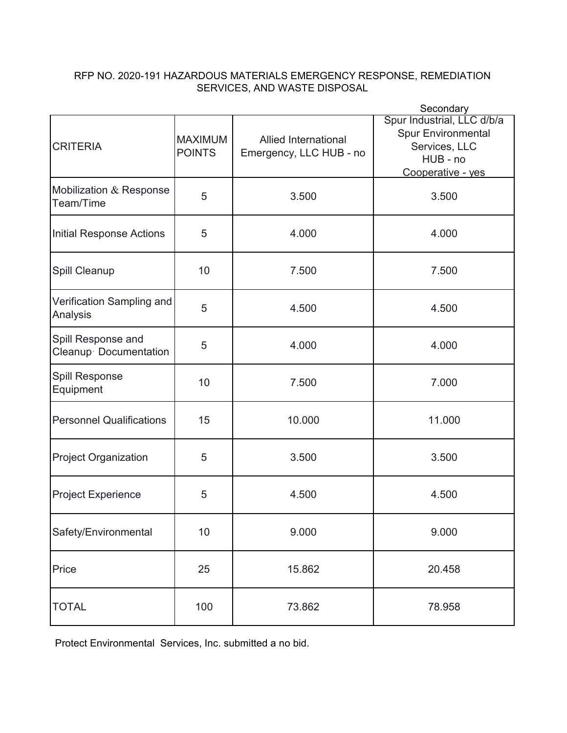## RFP NO. 2020-191 HAZARDOUS MATERIALS EMERGENCY RESPONSE, REMEDIATION SERVICES, AND WASTE DISPOSAL

|                                             |                                 |                                                        | Secondary                                                                                                 |
|---------------------------------------------|---------------------------------|--------------------------------------------------------|-----------------------------------------------------------------------------------------------------------|
| <b>CRITERIA</b>                             | <b>MAXIMUM</b><br><b>POINTS</b> | <b>Allied International</b><br>Emergency, LLC HUB - no | Spur Industrial, LLC d/b/a<br><b>Spur Environmental</b><br>Services, LLC<br>HUB - no<br>Cooperative - yes |
| Mobilization & Response<br>Team/Time        | 5                               | 3.500                                                  | 3.500                                                                                                     |
| Initial Response Actions                    | 5                               | 4.000                                                  | 4.000                                                                                                     |
| Spill Cleanup                               | 10                              | 7.500                                                  | 7.500                                                                                                     |
| Verification Sampling and<br>Analysis       | 5                               | 4.500                                                  | 4.500                                                                                                     |
| Spill Response and<br>Cleanup Documentation | 5                               | 4.000                                                  | 4.000                                                                                                     |
| Spill Response<br>Equipment                 | 10                              | 7.500                                                  | 7.000                                                                                                     |
| <b>Personnel Qualifications</b>             | 15                              | 10.000                                                 | 11.000                                                                                                    |
| <b>Project Organization</b>                 | 5                               | 3.500                                                  | 3.500                                                                                                     |
| <b>Project Experience</b>                   | 5                               | 4.500                                                  | 4.500                                                                                                     |
| Safety/Environmental                        | 10                              | 9.000                                                  | 9.000                                                                                                     |
| Price                                       | 25                              | 15.862                                                 | 20.458                                                                                                    |
| <b>TOTAL</b>                                | 100                             | 73.862<br>78.958                                       |                                                                                                           |

Protect Environmental Services, Inc. submitted a no bid.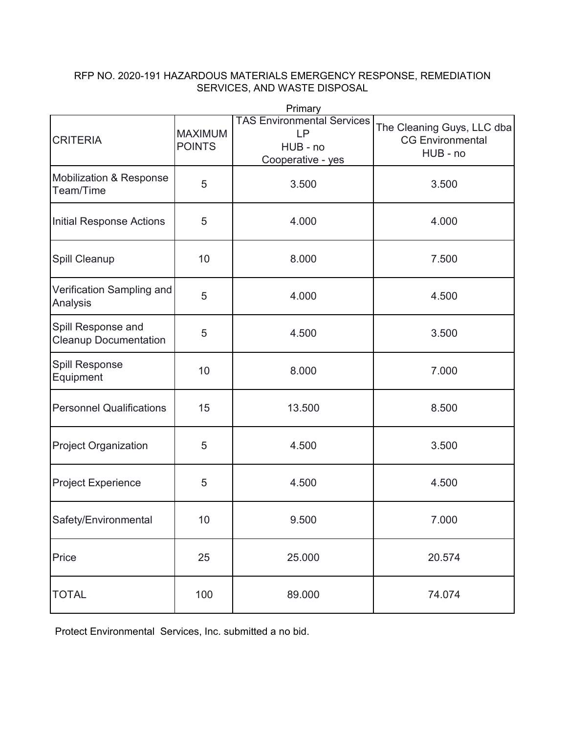## RFP NO. 2020-191 HAZARDOUS MATERIALS EMERGENCY RESPONSE, REMEDIATION SERVICES, AND WASTE DISPOSAL

|                                                    |                                 | miliai y                                                                        |                                                                   |
|----------------------------------------------------|---------------------------------|---------------------------------------------------------------------------------|-------------------------------------------------------------------|
| <b>CRITERIA</b>                                    | <b>MAXIMUM</b><br><b>POINTS</b> | <b>TAS Environmental Services</b><br><b>LP</b><br>HUB - no<br>Cooperative - yes | The Cleaning Guys, LLC dba<br><b>CG Environmental</b><br>HUB - no |
| <b>Mobilization &amp; Response</b><br>Team/Time    | 5                               | 3.500                                                                           | 3.500                                                             |
| <b>Initial Response Actions</b>                    | 5                               | 4.000                                                                           | 4.000                                                             |
| Spill Cleanup                                      | 10                              | 8.000                                                                           | 7.500                                                             |
| Verification Sampling and<br>Analysis              | 5                               | 4.000                                                                           | 4.500                                                             |
| Spill Response and<br><b>Cleanup Documentation</b> | 5                               | 4.500                                                                           | 3.500                                                             |
| Spill Response<br>Equipment                        | 10                              | 8.000                                                                           | 7.000                                                             |
| <b>Personnel Qualifications</b>                    | 15                              | 13.500                                                                          | 8.500                                                             |
| <b>Project Organization</b>                        | 5                               | 4.500                                                                           | 3.500                                                             |
| <b>Project Experience</b>                          | 5                               | 4.500                                                                           | 4.500                                                             |
| Safety/Environmental                               | 10                              | 9.500                                                                           | 7.000                                                             |
| Price                                              | 25                              | 25.000                                                                          | 20.574                                                            |
| <b>TOTAL</b>                                       | 100                             | 89.000                                                                          | 74.074                                                            |

Primary

Protect Environmental Services, Inc. submitted a no bid.